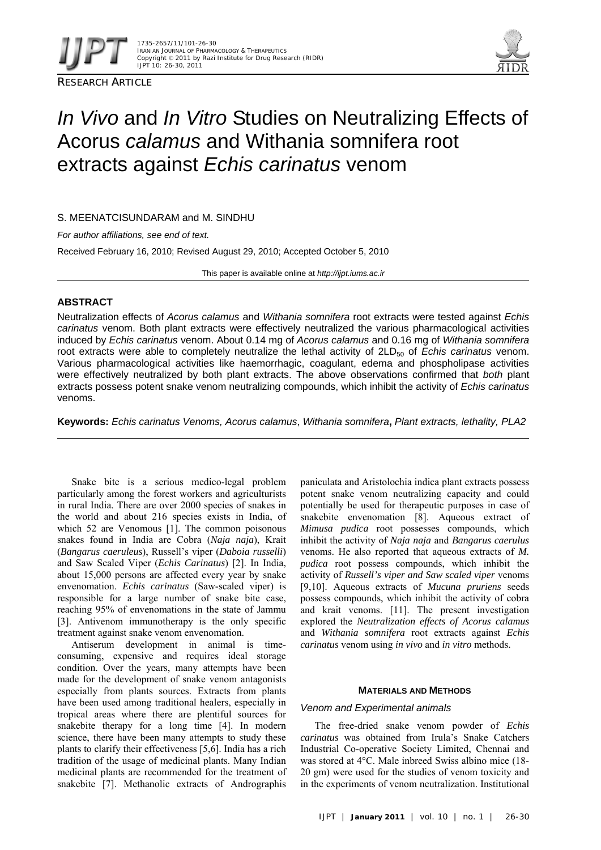

RESEARCH ARTICLE



# *In Vivo* and *In Vitro* Studies on Neutralizing Effects of Acorus *calamus* and Withania somnifera root extracts against *Echis carinatus* venom

S. MEENATCISUNDARAM and M. SINDHU

*For author affiliations, see end of text.* 

Received February 16, 2010; Revised August 29, 2010; Accepted October 5, 2010

This paper is available online at *http://ijpt.iums.ac.ir*

# **ABSTRACT**

Neutralization effects of *Acorus calamus* and *Withania somnifera* root extracts were tested against *Echis carinatus* venom. Both plant extracts were effectively neutralized the various pharmacological activities induced by *Echis carinatus* venom. About 0.14 mg of *Acorus calamus* and 0.16 mg of *Withania somnifera* root extracts were able to completely neutralize the lethal activity of 2LD<sub>50</sub> of *Echis carinatus* venom. Various pharmacological activities like haemorrhagic, coagulant, edema and phospholipase activities were effectively neutralized by both plant extracts. The above observations confirmed that *both* plant extracts possess potent snake venom neutralizing compounds, which inhibit the activity of *Echis carinatus* venoms.

**Keywords:** *Echis carinatus Venoms, Acorus calamus*, *Withania somnifera***,** *Plant extracts, lethality, PLA2*

Snake bite is a serious medico-legal problem particularly among the forest workers and agriculturists in rural India. There are over 2000 species of snakes in the world and about 216 species exists in India, of which 52 are Venomous [1]. The common poisonous snakes found in India are Cobra (*Naja naja*), Krait (*Bangarus caeruleus*), Russell's viper (*Daboia russelli*) and Saw Scaled Viper (*Echis Carinatus*) [2]. In India, about 15,000 persons are affected every year by snake envenomation. *Echis carinatus* (Saw-scaled viper) is responsible for a large number of snake bite case, reaching 95% of envenomations in the state of Jammu [3]. Antivenom immunotherapy is the only specific treatment against snake venom envenomation.

Antiserum development in animal is timeconsuming, expensive and requires ideal storage condition. Over the years, many attempts have been made for the development of snake venom antagonists especially from plants sources. Extracts from plants have been used among traditional healers, especially in tropical areas where there are plentiful sources for snakebite therapy for a long time [4]. In modern science, there have been many attempts to study these plants to clarify their effectiveness [5,6]. India has a rich tradition of the usage of medicinal plants. Many Indian medicinal plants are recommended for the treatment of snakebite [7]. Methanolic extracts of Andrographis

paniculata and Aristolochia indica plant extracts possess potent snake venom neutralizing capacity and could potentially be used for therapeutic purposes in case of snakebite envenomation [8]. Aqueous extract of *Mimusa pudica* root possesses compounds, which inhibit the activity of *Naja naja* and *Bangarus caerulus*  venoms. He also reported that aqueous extracts of *M. pudica* root possess compounds, which inhibit the activity of *Russell's viper and Saw scaled viper* venoms [9,10]. Aqueous extracts of *Mucuna pruriens* seeds possess compounds, which inhibit the activity of cobra and krait venoms. [11]. The present investigation explored the *Neutralization effects of Acorus calamus* and *Withania somnifera* root extracts against *Echis carinatus* venom using *in vivo* and *in vitro* methods.

# **MATERIALS AND METHODS**

# *Venom and Experimental animals*

The free-dried snake venom powder of *Echis carinatus* was obtained from Irula's Snake Catchers Industrial Co-operative Society Limited, Chennai and was stored at 4°C. Male inbreed Swiss albino mice (18- 20 gm) were used for the studies of venom toxicity and in the experiments of venom neutralization. Institutional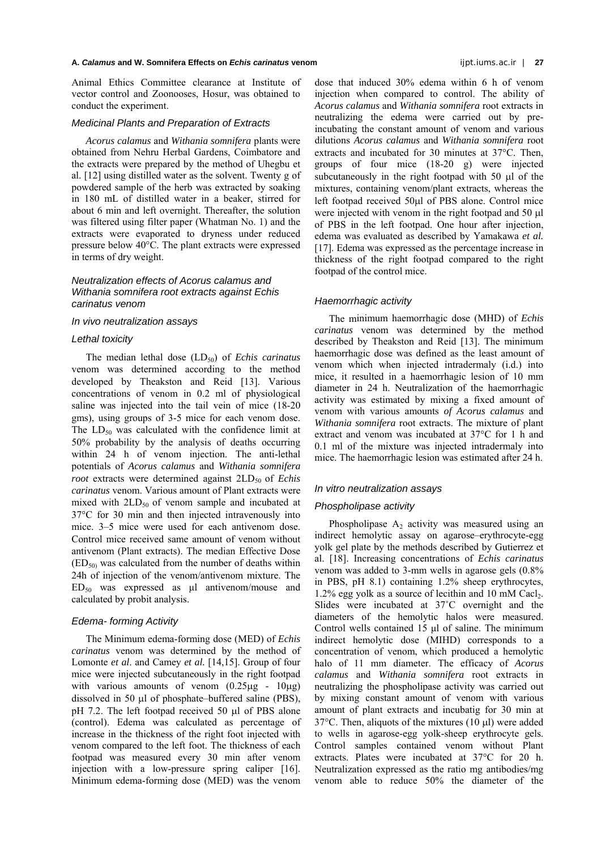Animal Ethics Committee clearance at Institute of vector control and Zoonooses, Hosur, was obtained to conduct the experiment.

#### *Medicinal Plants and Preparation of Extracts*

*Acorus calamus* and *Withania somnifera* plants were obtained from Nehru Herbal Gardens, Coimbatore and the extracts were prepared by the method of Uhegbu et al. [12] using distilled water as the solvent. Twenty g of powdered sample of the herb was extracted by soaking in 180 mL of distilled water in a beaker, stirred for about 6 min and left overnight. Thereafter, the solution was filtered using filter paper (Whatman No. 1) and the extracts were evaporated to dryness under reduced pressure below 40°C. The plant extracts were expressed in terms of dry weight.

# *Neutralization effects of Acorus calamus and Withania somnifera root extracts against Echis carinatus venom*

## *In vivo neutralization assays*

## *Lethal toxicity*

The median lethal dose (LD<sub>50</sub>) of *Echis carinatus* venom was determined according to the method developed by Theakston and Reid [13]. Various concentrations of venom in 0.2 ml of physiological saline was injected into the tail vein of mice (18-20 gms), using groups of 3-5 mice for each venom dose. The  $LD_{50}$  was calculated with the confidence limit at 50% probability by the analysis of deaths occurring within 24 h of venom injection. The anti-lethal potentials of *Acorus calamus* and *Withania somnifera root* extracts were determined against 2LD<sub>50</sub> of *Echis carinatus* venom. Various amount of Plant extracts were mixed with  $2LD_{50}$  of venom sample and incubated at 37C for 30 min and then injected intravenously into mice. 3–5 mice were used for each antivenom dose. Control mice received same amount of venom without antivenom (Plant extracts). The median Effective Dose  $(ED<sub>50)</sub>$  was calculated from the number of deaths within 24h of injection of the venom/antivenom mixture. The  $ED<sub>50</sub>$  was expressed as  $µl$  antivenom/mouse and calculated by probit analysis.

## *Edema- forming Activity*

The Minimum edema-forming dose (MED) of *Echis carinatus* venom was determined by the method of Lomonte *et al*. and Camey *et al.* [14,15]. Group of four mice were injected subcutaneously in the right footpad with various amounts of venom  $(0.25\mu g - 10\mu g)$ dissolved in 50  $\mu$ l of phosphate–buffered saline (PBS), pH 7.2. The left footpad received 50  $\mu$ l of PBS alone (control). Edema was calculated as percentage of increase in the thickness of the right foot injected with venom compared to the left foot. The thickness of each footpad was measured every 30 min after venom injection with a low-pressure spring caliper [16]. Minimum edema-forming dose (MED) was the venom

dose that induced 30% edema within 6 h of venom injection when compared to control. The ability of *Acorus calamus* and *Withania somnifera* root extracts in neutralizing the edema were carried out by preincubating the constant amount of venom and various dilutions *Acorus calamus* and *Withania somnifera* root extracts and incubated for 30 minutes at  $37^{\circ}$ C. Then, groups of four mice (18-20 g) were injected subcutaneously in the right footpad with  $50 \mu l$  of the mixtures, containing venom/plant extracts, whereas the left footpad received  $50\mu$ l of PBS alone. Control mice were injected with venom in the right footpad and  $50 \mu l$ of PBS in the left footpad. One hour after injection, edema was evaluated as described by Yamakawa *et al.* [17]. Edema was expressed as the percentage increase in thickness of the right footpad compared to the right footpad of the control mice.

#### *Haemorrhagic activity*

The minimum haemorrhagic dose (MHD) of *Echis carinatus* venom was determined by the method described by Theakston and Reid [13]. The minimum haemorrhagic dose was defined as the least amount of venom which when injected intradermaly (i.d.) into mice, it resulted in a haemorrhagic lesion of 10 mm diameter in 24 h. Neutralization of the haemorrhagic activity was estimated by mixing a fixed amount of venom with various amounts *of Acorus calamus* and *Withania somnifera* root extracts. The mixture of plant extract and venom was incubated at 37°C for 1 h and 0.1 ml of the mixture was injected intradermaly into mice. The haemorrhagic lesion was estimated after 24 h.

## *In vitro neutralization assays*

#### *Phospholipase activity*

Phospholipase  $A_2$  activity was measured using an indirect hemolytic assay on agarose–erythrocyte-egg yolk gel plate by the methods described by Gutierrez et al. [18]. Increasing concentrations of *Echis carinatus* venom was added to 3-mm wells in agarose gels (0.8% in PBS, pH 8.1) containing 1.2% sheep erythrocytes,  $1.2\%$  egg yolk as a source of lecithin and 10 mM Cacl<sub>2</sub>. Slides were incubated at 37˚C overnight and the diameters of the hemolytic halos were measured. Control wells contained 15 μl of saline. The minimum indirect hemolytic dose (MIHD) corresponds to a concentration of venom, which produced a hemolytic halo of 11 mm diameter. The efficacy of *Acorus calamus* and *Withania somnifera* root extracts in neutralizing the phospholipase activity was carried out by mixing constant amount of venom with various amount of plant extracts and incubatig for 30 min at  $37^{\circ}$ C. Then, aliquots of the mixtures (10 µl) were added to wells in agarose-egg yolk-sheep erythrocyte gels. Control samples contained venom without Plant extracts. Plates were incubated at 37°C for 20 h. Neutralization expressed as the ratio mg antibodies/mg venom able to reduce 50% the diameter of the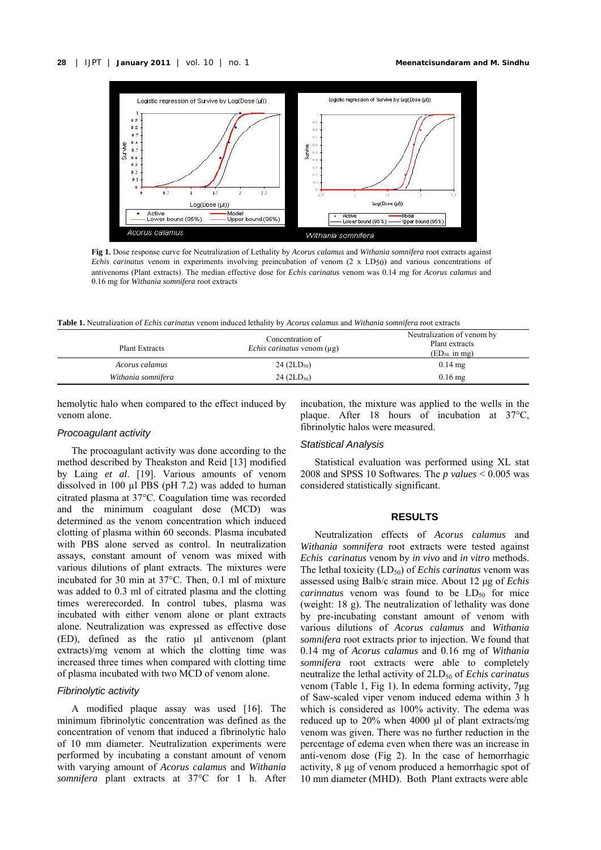

**Fig 1.** Dose response curve for Neutralization of Lethality by *Acorus calamus* and *Withania somnifera* root extracts against *Echis carinatus* venom in experiments involving preincubation of venom (2 x LD50) and various concentrations of antivenoms (Plant extracts). The median effective dose for *Echis carinatus* venom was 0.14 mg for *Acorus calamus* and 0.16 mg for *Withania somnifera* root extracts

**Table 1.** Neutralization of *Echis carinatus* venom induced lethality by *Acorus calamus* and *Withania somnifera* root extracts

| <b>Plant Extracts</b> | Concentration of<br><i>Echis carinatus</i> venom $(\mu g)$ | Neutralization of venom by<br>Plant extracts<br>$(ED50$ in mg) |
|-----------------------|------------------------------------------------------------|----------------------------------------------------------------|
| Acorus calamus        | $24 \, (2LD_{50})$                                         | $0.14 \text{ mg}$                                              |
| Withania somnifera    | $24 (2LD_{50})$                                            | $0.16$ mg                                                      |

hemolytic halo when compared to the effect induced by venom alone.

## *Procoagulant activity*

The procoagulant activity was done according to the method described by Theakston and Reid [13] modified by Laing *et al*. [19]. Various amounts of venom dissolved in 100 µl PBS (pH 7.2) was added to human citrated plasma at 37°C. Coagulation time was recorded and the minimum coagulant dose (MCD) was determined as the venom concentration which induced clotting of plasma within 60 seconds. Plasma incubated with PBS alone served as control. In neutralization assays, constant amount of venom was mixed with various dilutions of plant extracts. The mixtures were incubated for 30 min at  $37^{\circ}$ C. Then, 0.1 ml of mixture was added to 0.3 ml of citrated plasma and the clotting times wererecorded. In control tubes, plasma was incubated with either venom alone or plant extracts alone. Neutralization was expressed as effective dose  $(ED)$ , defined as the ratio  $\mu$ l antivenom (plant extracts)/mg venom at which the clotting time was increased three times when compared with clotting time of plasma incubated with two MCD of venom alone.

## *Fibrinolytic activity*

A modified plaque assay was used [16]. The minimum fibrinolytic concentration was defined as the concentration of venom that induced a fibrinolytic halo of 10 mm diameter. Neutralization experiments were performed by incubating a constant amount of venom with varying amount of *Acorus calamus* and *Withania somnifera* plant extracts at 37°C for 1 h. After incubation, the mixture was applied to the wells in the plaque. After 18 hours of incubation at 37°C, fibrinolytic halos were measured.

## *Statistical Analysis*

Statistical evaluation was performed using XL stat 2008 and SPSS 10 Softwares. The *p values* < 0.005 was considered statistically significant.

## **RESULTS**

Neutralization effects of *Acorus calamus* and *Withania somnifera* root extracts were tested against *Echis carinatus* venom by *in vivo* and *in vitro* methods. The lethal toxicity (LD<sub>50</sub>) of *Echis carinatus* venom was assessed using Balb/c strain mice. About 12 μg of *Echis carinnatus* venom was found to be  $LD_{50}$  for mice (weight: 18 g). The neutralization of lethality was done by pre-incubating constant amount of venom with various dilutions of *Acorus calamus* and *Withania somnifera* root extracts prior to injection. We found that 0.14 mg of *Acorus calamus* and 0.16 mg of *Withania somnifera* root extracts were able to completely neutralize the lethal activity of 2LD<sub>50</sub> of *Echis carinatus* venom (Table 1, Fig 1). In edema forming activity, 7μg of Saw-scaled viper venom induced edema within 3 h which is considered as 100% activity. The edema was reduced up to 20% when 4000 μl of plant extracts/mg venom was given. There was no further reduction in the percentage of edema even when there was an increase in anti-venom dose (Fig 2). In the case of hemorrhagic activity, 8 μg of venom produced a hemorrhagic spot of 10 mm diameter (MHD). Both Plant extracts were able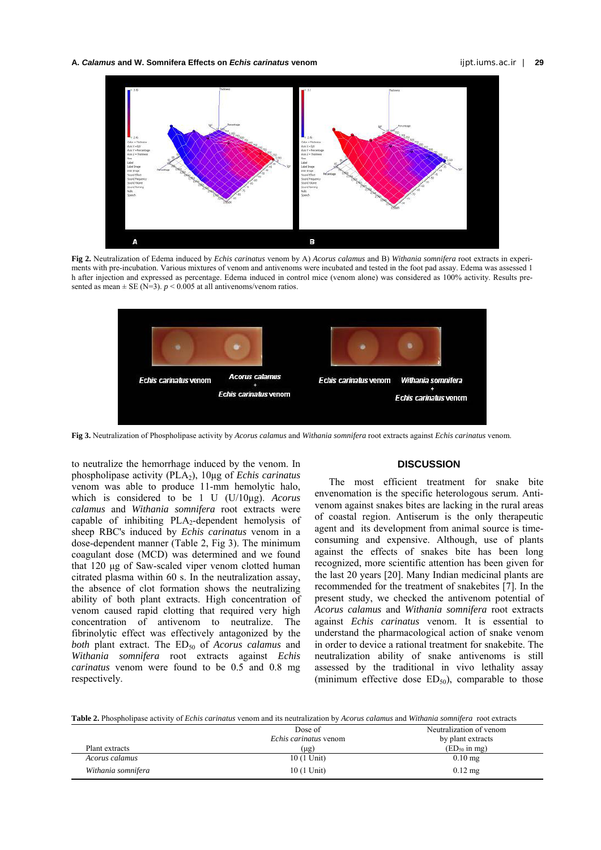**A.** *Calamus* **and W. Somnifera Effects on** *Echis carinatus* **venom** ijpt.iums.ac.ir | **29** 



**Fig 2.** Neutralization of Edema induced by *Echis carinatus* venom by A) *Acorus calamus* and B) *Withania somnifera* root extracts in experiments with pre-incubation. Various mixtures of venom and antivenoms were incubated and tested in the foot pad assay. Edema was assessed 1 h after injection and expressed as percentage. Edema induced in control mice (venom alone) was considered as 100% activity. Results presented as mean  $\pm$  SE (N=3). *p* < 0.005 at all antivenoms/venom ratios.



**Fig 3.** Neutralization of Phospholipase activity by *Acorus calamus* and *Withania somnifera* root extracts against *Echis carinatus* venom.

to neutralize the hemorrhage induced by the venom. In phospholipase activity (PLA2), 10μg of *Echis carinatus* venom was able to produce 11-mm hemolytic halo, which is considered to be 1 U (U/10μg). *Acorus calamus* and *Withania somnifera* root extracts were capable of inhibiting  $PLA_2$ -dependent hemolysis of sheep RBC's induced by *Echis carinatus* venom in a dose-dependent manner (Table 2, Fig 3). The minimum coagulant dose (MCD) was determined and we found that 120 μg of Saw-scaled viper venom clotted human citrated plasma within 60 s. In the neutralization assay, the absence of clot formation shows the neutralizing ability of both plant extracts. High concentration of venom caused rapid clotting that required very high concentration of antivenom to neutralize. The fibrinolytic effect was effectively antagonized by the *both* plant extract. The ED<sub>50</sub> of *Acorus calamus* and *Withania somnifera* root extracts against *Echis carinatus* venom were found to be 0.5 and 0.8 mg respectively.

# **DISCUSSION**

The most efficient treatment for snake bite envenomation is the specific heterologous serum. Antivenom against snakes bites are lacking in the rural areas of coastal region. Antiserum is the only therapeutic agent and its development from animal source is timeconsuming and expensive. Although, use of plants against the effects of snakes bite has been long recognized, more scientific attention has been given for the last 20 years [20]. Many Indian medicinal plants are recommended for the treatment of snakebites [7]. In the present study, we checked the antivenom potential of *Acorus calamus* and *Withania somnifera* root extracts against *Echis carinatus* venom. It is essential to understand the pharmacological action of snake venom in order to device a rational treatment for snakebite. The neutralization ability of snake antivenoms is still assessed by the traditional in vivo lethality assay (minimum effective dose  $ED_{50}$ ), comparable to those

**Table 2.** Phospholipase activity of *Echis carinatus* venom and its neutralization by *Acorus calamus* and *Withania somnifera* root extracts

|                    | Dose of                      | Neutralization of venom |
|--------------------|------------------------------|-------------------------|
|                    | <i>Echis carinatus</i> venom | by plant extracts       |
| Plant extracts     | (µg)                         | $(ED50$ in mg)          |
| Acorus calamus     | 10 (1 Unit)                  | $0.10$ mg               |
| Withania somnifera | 10 (1 Unit)                  | $0.12$ mg               |